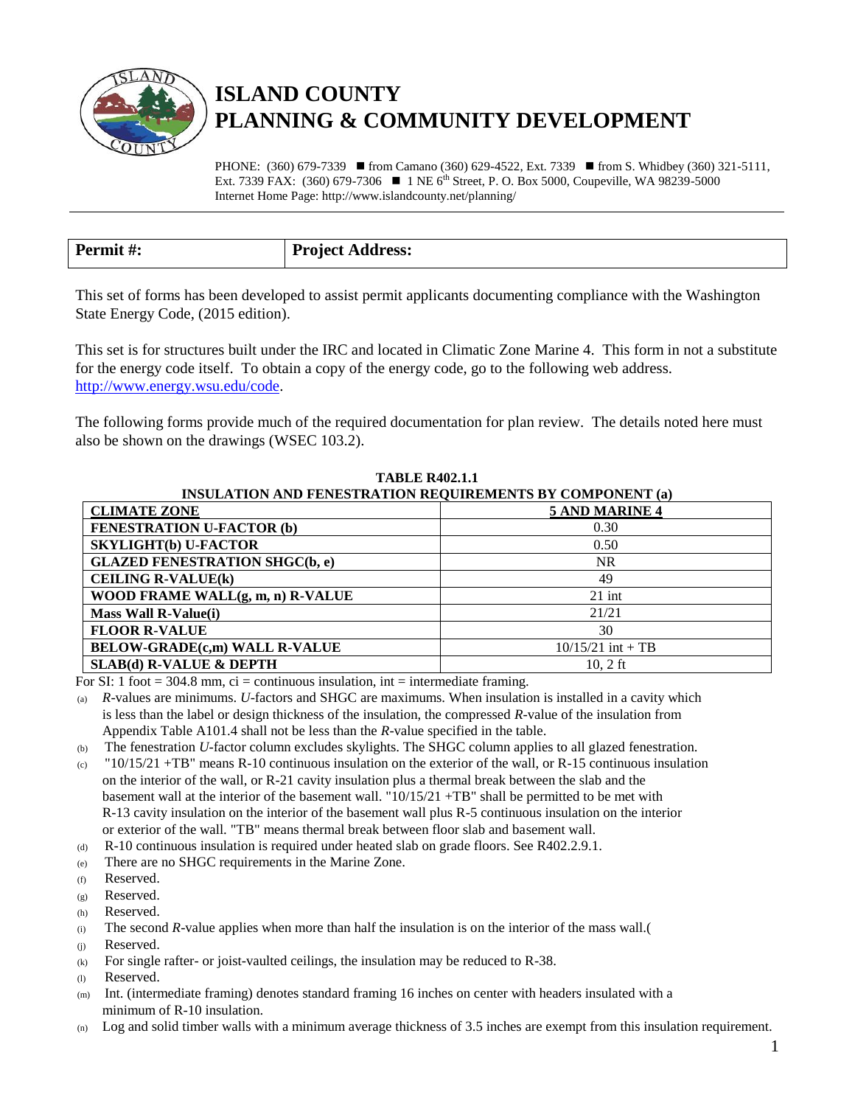

## **ISLAND COUNTY PLANNING & COMMUNITY DEVELOPMENT**

PHONE:  $(360)$  679-7339 **from Camano**  $(360)$  629-4522, Ext. 7339 **from S. Whidbey (360) 321-5111**, Ext. 7339 FAX:  $(360)$  679-7306  $\blacksquare$  1 NE 6<sup>th</sup> Street, P. O. Box 5000, Coupeville, WA 98239-5000 Internet Home Page: http://www.islandcounty.net/planning/

| Permit#: | <b>Project Address:</b> |
|----------|-------------------------|

This set of forms has been developed to assist permit applicants documenting compliance with the Washington State Energy Code, (2015 edition).

This set is for structures built under the IRC and located in Climatic Zone Marine 4. This form in not a substitute for the energy code itself. To obtain a copy of the energy code, go to the following web address. [http://www.energy.wsu.edu/code.](http://www.energy.wsu.edu/code)

The following forms provide much of the required documentation for plan review. The details noted here must also be shown on the drawings (WSEC 103.2).

| <b>INSULATION AND FENESTRATION REQUIREMENTS BY COMPONENT (a)</b> |                       |  |  |
|------------------------------------------------------------------|-----------------------|--|--|
| <b>CLIMATE ZONE</b>                                              | <b>5 AND MARINE 4</b> |  |  |
| <b>FENESTRATION U-FACTOR (b)</b>                                 | 0.30                  |  |  |
| <b>SKYLIGHT(b) U-FACTOR</b>                                      | 0.50                  |  |  |
| <b>GLAZED FENESTRATION SHGC(b, e)</b>                            | <b>NR</b>             |  |  |
| <b>CEILING R-VALUE(k)</b>                                        | 49                    |  |  |
| WOOD FRAME WALL(g, m, n) R-VALUE                                 | $21$ int              |  |  |
| <b>Mass Wall R-Value(i)</b>                                      | 21/21                 |  |  |
| <b>FLOOR R-VALUE</b>                                             | 30                    |  |  |
| <b>BELOW-GRADE(c,m) WALL R-VALUE</b>                             | $10/15/21$ int + TB   |  |  |
| <b>SLAB(d) R-VALUE &amp; DEPTH</b>                               | 10. $2 \text{ ft}$    |  |  |

**TABLE R402.1.1**

For SI: 1 foot  $= 304.8$  mm, ci  $=$  continuous insulation, int  $=$  intermediate framing.

(a) *R*-values are minimums. *U*-factors and SHGC are maximums. When insulation is installed in a cavity which is less than the label or design thickness of the insulation, the compressed *R*-value of the insulation from Appendix Table A101.4 shall not be less than the *R*-value specified in the table.

(b) The fenestration *U*-factor column excludes skylights. The SHGC column applies to all glazed fenestration.

- (c)  $"10/15/21 + TB"$  means R-10 continuous insulation on the exterior of the wall, or R-15 continuous insulation on the interior of the wall, or R-21 cavity insulation plus a thermal break between the slab and the basement wall at the interior of the basement wall. "10/15/21 +TB" shall be permitted to be met with R-13 cavity insulation on the interior of the basement wall plus R-5 continuous insulation on the interior or exterior of the wall. "TB" means thermal break between floor slab and basement wall.
- (d) R-10 continuous insulation is required under heated slab on grade floors. See R402.2.9.1.
- (e) There are no SHGC requirements in the Marine Zone.
- (f) Reserved.
- (g) Reserved.
- (h) Reserved.
- (i) The second *R*-value applies when more than half the insulation is on the interior of the mass wall.(
- (j) Reserved.
- (k) For single rafter- or joist-vaulted ceilings, the insulation may be reduced to R-38.
- (l) Reserved.
- (m) Int. (intermediate framing) denotes standard framing 16 inches on center with headers insulated with a minimum of R-10 insulation.
- Log and solid timber walls with a minimum average thickness of 3.5 inches are exempt from this insulation requirement.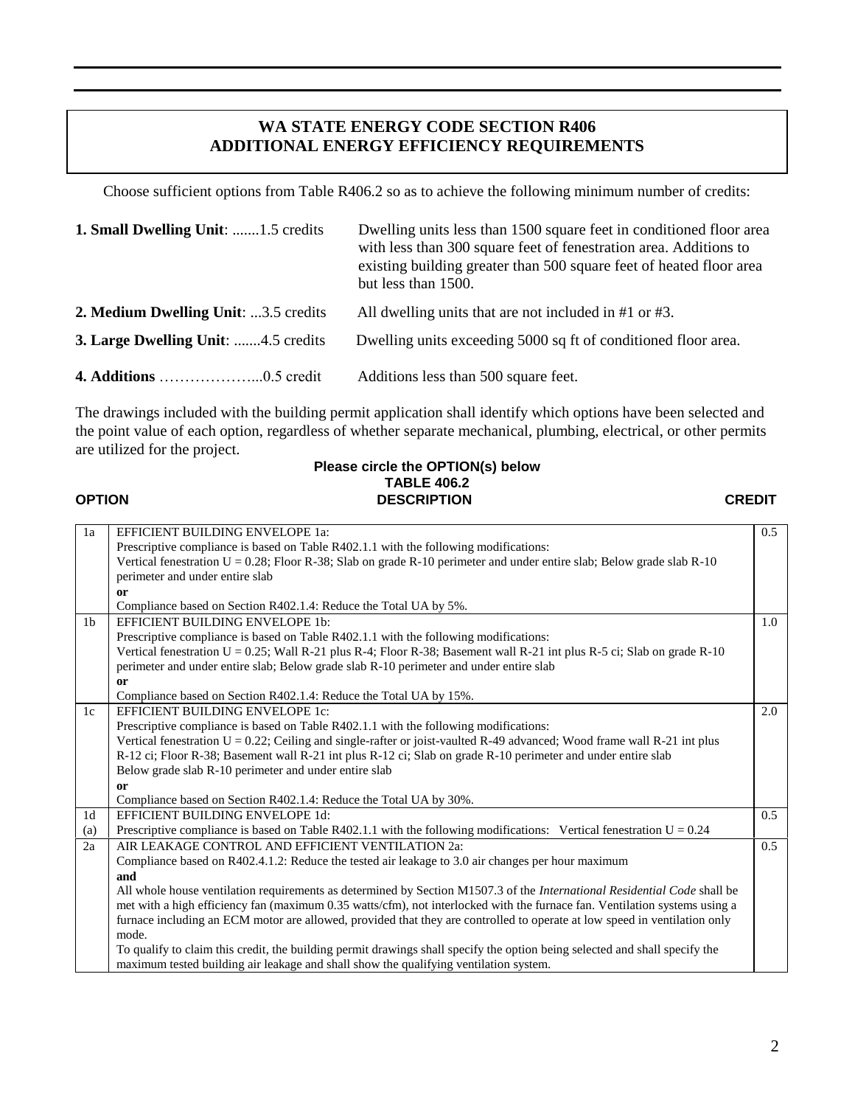## **WA STATE ENERGY CODE SECTION R406 ADDITIONAL ENERGY EFFICIENCY REQUIREMENTS**

Choose sufficient options from Table R406.2 so as to achieve the following minimum number of credits:

| <b>1. Small Dwelling Unit:</b> 1.5 credits  | Dwelling units less than 1500 square feet in conditioned floor area<br>with less than 300 square feet of fenestration area. Additions to<br>existing building greater than 500 square feet of heated floor area<br>but less than 1500. |
|---------------------------------------------|----------------------------------------------------------------------------------------------------------------------------------------------------------------------------------------------------------------------------------------|
| <b>2. Medium Dwelling Unit:</b> 3.5 credits | All dwelling units that are not included in $#1$ or $#3$ .                                                                                                                                                                             |
| <b>3. Large Dwelling Unit:</b> 4.5 credits  | Dwelling units exceeding 5000 sq ft of conditioned floor area.                                                                                                                                                                         |
|                                             | Additions less than 500 square feet.                                                                                                                                                                                                   |

The drawings included with the building permit application shall identify which options have been selected and the point value of each option, regardless of whether separate mechanical, plumbing, electrical, or other permits are utilized for the project.

## **Please circle the OPTION(s) below TABLE 406.2 OPTION DESCRIPTION CREDIT**

| 1a             | EFFICIENT BUILDING ENVELOPE 1a:                                                                                             | 0.5           |
|----------------|-----------------------------------------------------------------------------------------------------------------------------|---------------|
|                | Prescriptive compliance is based on Table R402.1.1 with the following modifications:                                        |               |
|                | Vertical fenestration $U = 0.28$ ; Floor R-38; Slab on grade R-10 perimeter and under entire slab; Below grade slab R-10    |               |
|                | perimeter and under entire slab                                                                                             |               |
|                | or                                                                                                                          |               |
|                | Compliance based on Section R402.1.4: Reduce the Total UA by 5%.                                                            |               |
| 1 <sub>b</sub> | EFFICIENT BUILDING ENVELOPE 1b:                                                                                             | 1.0           |
|                | Prescriptive compliance is based on Table R402.1.1 with the following modifications:                                        |               |
|                | Vertical fenestration U = 0.25; Wall R-21 plus R-4; Floor R-38; Basement wall R-21 int plus R-5 ci; Slab on grade R-10      |               |
|                | perimeter and under entire slab; Below grade slab R-10 perimeter and under entire slab                                      |               |
|                | <sub>or</sub>                                                                                                               |               |
|                | Compliance based on Section R402.1.4: Reduce the Total UA by 15%.                                                           |               |
| 1c             | EFFICIENT BUILDING ENVELOPE 1c:                                                                                             | 2.0           |
|                | Prescriptive compliance is based on Table R402.1.1 with the following modifications:                                        |               |
|                | Vertical fenestration $U = 0.22$ ; Ceiling and single-rafter or joist-vaulted R-49 advanced; Wood frame wall R-21 int plus  |               |
|                | R-12 ci; Floor R-38; Basement wall R-21 int plus R-12 ci; Slab on grade R-10 perimeter and under entire slab                |               |
|                | Below grade slab R-10 perimeter and under entire slab                                                                       |               |
|                | or                                                                                                                          |               |
|                | Compliance based on Section R402.1.4: Reduce the Total UA by 30%.                                                           |               |
| 1 <sub>d</sub> | EFFICIENT BUILDING ENVELOPE 1d:                                                                                             | 0.5           |
| (a)            | Prescriptive compliance is based on Table R402.1.1 with the following modifications: Vertical fenestration $U = 0.24$       |               |
| 2a             | AIR LEAKAGE CONTROL AND EFFICIENT VENTILATION 2a:                                                                           | $0.5^{\circ}$ |
|                | Compliance based on R402.4.1.2: Reduce the tested air leakage to 3.0 air changes per hour maximum                           |               |
|                | and                                                                                                                         |               |
|                | All whole house ventilation requirements as determined by Section M1507.3 of the International Residential Code shall be    |               |
|                | met with a high efficiency fan (maximum 0.35 watts/cfm), not interlocked with the furnace fan. Ventilation systems using a  |               |
|                | furnace including an ECM motor are allowed, provided that they are controlled to operate at low speed in ventilation only   |               |
|                | mode.                                                                                                                       |               |
|                | To qualify to claim this credit, the building permit drawings shall specify the option being selected and shall specify the |               |
|                | maximum tested building air leakage and shall show the qualifying ventilation system.                                       |               |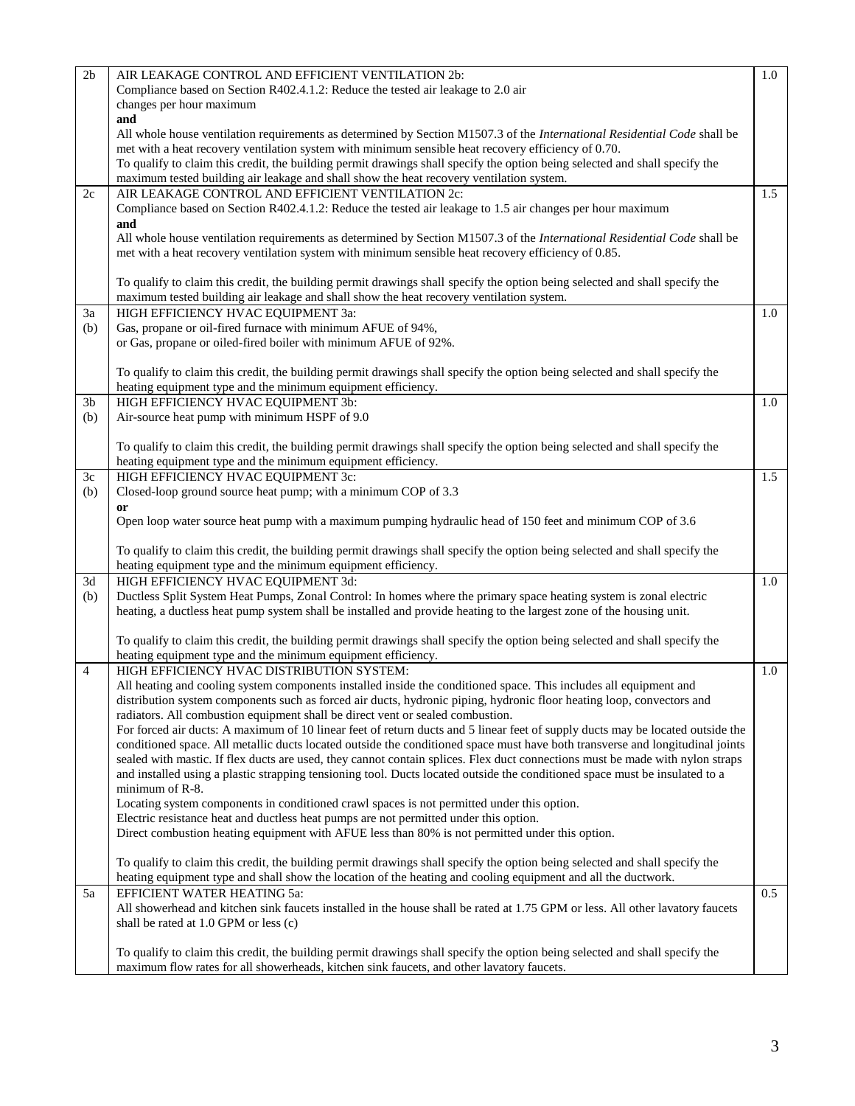| 2 <sub>b</sub> | AIR LEAKAGE CONTROL AND EFFICIENT VENTILATION 2b:                                                                                                                                                                                                              | 1.0 |
|----------------|----------------------------------------------------------------------------------------------------------------------------------------------------------------------------------------------------------------------------------------------------------------|-----|
|                | Compliance based on Section R402.4.1.2: Reduce the tested air leakage to 2.0 air                                                                                                                                                                               |     |
|                | changes per hour maximum<br>and                                                                                                                                                                                                                                |     |
|                | All whole house ventilation requirements as determined by Section M1507.3 of the <i>International Residential Code</i> shall be                                                                                                                                |     |
|                | met with a heat recovery ventilation system with minimum sensible heat recovery efficiency of 0.70.                                                                                                                                                            |     |
|                | To qualify to claim this credit, the building permit drawings shall specify the option being selected and shall specify the                                                                                                                                    |     |
|                | maximum tested building air leakage and shall show the heat recovery ventilation system.                                                                                                                                                                       |     |
| 2c             | AIR LEAKAGE CONTROL AND EFFICIENT VENTILATION 2c:                                                                                                                                                                                                              | 1.5 |
|                | Compliance based on Section R402.4.1.2: Reduce the tested air leakage to 1.5 air changes per hour maximum                                                                                                                                                      |     |
|                | and                                                                                                                                                                                                                                                            |     |
|                | All whole house ventilation requirements as determined by Section M1507.3 of the International Residential Code shall be<br>met with a heat recovery ventilation system with minimum sensible heat recovery efficiency of 0.85.                                |     |
|                |                                                                                                                                                                                                                                                                |     |
|                | To qualify to claim this credit, the building permit drawings shall specify the option being selected and shall specify the                                                                                                                                    |     |
|                | maximum tested building air leakage and shall show the heat recovery ventilation system.                                                                                                                                                                       |     |
| 3a             | HIGH EFFICIENCY HVAC EQUIPMENT 3a:                                                                                                                                                                                                                             | 1.0 |
| (b)            | Gas, propane or oil-fired furnace with minimum AFUE of 94%,                                                                                                                                                                                                    |     |
|                | or Gas, propane or oiled-fired boiler with minimum AFUE of 92%.                                                                                                                                                                                                |     |
|                |                                                                                                                                                                                                                                                                |     |
|                | To qualify to claim this credit, the building permit drawings shall specify the option being selected and shall specify the<br>heating equipment type and the minimum equipment efficiency.                                                                    |     |
| 3 <sub>b</sub> | HIGH EFFICIENCY HVAC EQUIPMENT 3b:                                                                                                                                                                                                                             | 1.0 |
| (b)            | Air-source heat pump with minimum HSPF of 9.0                                                                                                                                                                                                                  |     |
|                |                                                                                                                                                                                                                                                                |     |
|                | To qualify to claim this credit, the building permit drawings shall specify the option being selected and shall specify the                                                                                                                                    |     |
|                | heating equipment type and the minimum equipment efficiency.                                                                                                                                                                                                   |     |
| 3c             | HIGH EFFICIENCY HVAC EQUIPMENT 3c:                                                                                                                                                                                                                             | 1.5 |
| (b)            | Closed-loop ground source heat pump; with a minimum COP of 3.3                                                                                                                                                                                                 |     |
|                | <sub>or</sub><br>Open loop water source heat pump with a maximum pumping hydraulic head of 150 feet and minimum COP of 3.6                                                                                                                                     |     |
|                |                                                                                                                                                                                                                                                                |     |
|                | To qualify to claim this credit, the building permit drawings shall specify the option being selected and shall specify the                                                                                                                                    |     |
|                | heating equipment type and the minimum equipment efficiency.                                                                                                                                                                                                   |     |
| 3d             | HIGH EFFICIENCY HVAC EQUIPMENT 3d:                                                                                                                                                                                                                             | 1.0 |
| (b)            | Ductless Split System Heat Pumps, Zonal Control: In homes where the primary space heating system is zonal electric                                                                                                                                             |     |
|                | heating, a ductless heat pump system shall be installed and provide heating to the largest zone of the housing unit.                                                                                                                                           |     |
|                | To qualify to claim this credit, the building permit drawings shall specify the option being selected and shall specify the                                                                                                                                    |     |
|                | heating equipment type and the minimum equipment efficiency.                                                                                                                                                                                                   |     |
| $\overline{4}$ | HIGH EFFICIENCY HVAC DISTRIBUTION SYSTEM:                                                                                                                                                                                                                      | 1.0 |
|                | All heating and cooling system components installed inside the conditioned space. This includes all equipment and                                                                                                                                              |     |
|                | distribution system components such as forced air ducts, hydronic piping, hydronic floor heating loop, convectors and                                                                                                                                          |     |
|                | radiators. All combustion equipment shall be direct vent or sealed combustion.                                                                                                                                                                                 |     |
|                | For forced air ducts: A maximum of 10 linear feet of return ducts and 5 linear feet of supply ducts may be located outside the                                                                                                                                 |     |
|                | conditioned space. All metallic ducts located outside the conditioned space must have both transverse and longitudinal joints<br>sealed with mastic. If flex ducts are used, they cannot contain splices. Flex duct connections must be made with nylon straps |     |
|                | and installed using a plastic strapping tensioning tool. Ducts located outside the conditioned space must be insulated to a                                                                                                                                    |     |
|                | minimum of R-8.                                                                                                                                                                                                                                                |     |
|                | Locating system components in conditioned crawl spaces is not permitted under this option.                                                                                                                                                                     |     |
|                | Electric resistance heat and ductless heat pumps are not permitted under this option.                                                                                                                                                                          |     |
|                | Direct combustion heating equipment with AFUE less than 80% is not permitted under this option.                                                                                                                                                                |     |
|                |                                                                                                                                                                                                                                                                |     |
|                | To qualify to claim this credit, the building permit drawings shall specify the option being selected and shall specify the<br>heating equipment type and shall show the location of the heating and cooling equipment and all the ductwork.                   |     |
| 5a             | EFFICIENT WATER HEATING 5a:                                                                                                                                                                                                                                    | 0.5 |
|                | All showerhead and kitchen sink faucets installed in the house shall be rated at 1.75 GPM or less. All other lavatory faucets                                                                                                                                  |     |
|                | shall be rated at 1.0 GPM or less (c)                                                                                                                                                                                                                          |     |
|                |                                                                                                                                                                                                                                                                |     |
|                | To qualify to claim this credit, the building permit drawings shall specify the option being selected and shall specify the                                                                                                                                    |     |
|                | maximum flow rates for all showerheads, kitchen sink faucets, and other lavatory faucets.                                                                                                                                                                      |     |